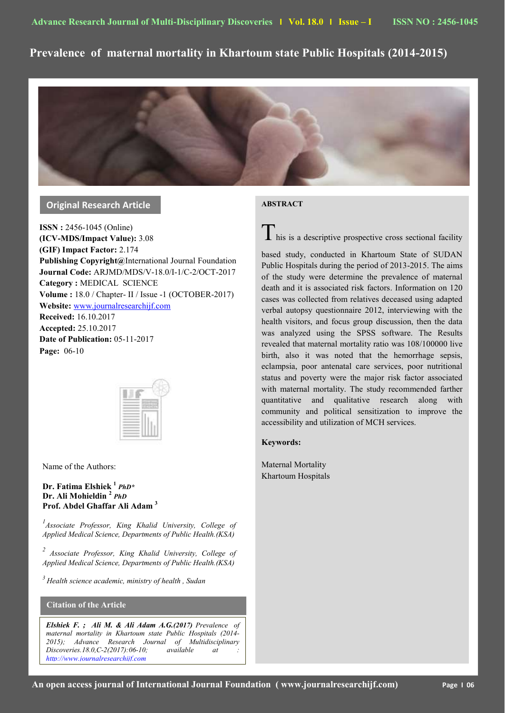# **Prevalence of maternal mortality in Khartoum state Public Hospitals (2014-2015)**



# **Original Research Article**

**ISSN :** 2456-1045 (Online) **(ICV-MDS/Impact Value):** 3.08 **(GIF) Impact Factor:** 2.174 **Publishing Copyright@**International Journal Foundation **Journal Code:** ARJMD/MDS/V-18.0/I-1/C-2/OCT-2017 **Category :** MEDICAL SCIENCE **Volume :** 18.0 / Chapter- II / Issue -1 (OCTOBER-2017) **Website:** [www.journalresearchijf.com](http://www.journalresearchijf.com/) **Received:** 16.10.2017 **Accepted:** 25.10.2017 **Date of Publication:** 05-11-2017 **Page:** 06-10



Name of the Authors:

## **Dr. Fatima Elshiek <sup>1</sup>** *PhD\** **Dr. Ali Mohieldin <sup>2</sup>** *PhD* **Prof. Abdel Ghaffar Ali Adam <sup>3</sup>**

<sup>1</sup> Associate Professor, King Khalid University, College of *Applied Medical Science, Departments of Public Health.(KSA)*

*2 Associate Professor, King Khalid University, College of Applied Medical Science, Departments of Public Health.(KSA)*

*<sup>3</sup> Health science academic, ministry of health , Sudan*

### **Citation of the Article**

**e;**

*Elshiek F. ; Ali M. & Ali Adam A.G.(2017) Prevalence of maternal mortality in Khartoum state Public Hospitals (2014- 2015); Advance Research Journal of Multidisciplinary Discoveries.18.0,C-2(2017):06-10; available at : [http://www.journalresearchijf.com](http://www.journalresearchijf.com/)*

# **ABSTRACT**

 $\mathbf I$  his is a descriptive prospective cross sectional facility

based study, conducted in Khartoum State of SUDAN Public Hospitals during the period of 2013-2015. The aims of the study were determine the prevalence of maternal death and it is associated risk factors. Information on 120 cases was collected from relatives deceased using adapted verbal autopsy questionnaire 2012, interviewing with the health visitors, and focus group discussion, then the data was analyzed using the SPSS software. The Results revealed that maternal mortality ratio was 108/100000 live birth, also it was noted that the hemorrhage sepsis, eclampsia, poor antenatal care services, poor nutritional status and poverty were the major risk factor associated with maternal mortality. The study recommended farther quantitative and qualitative research along with community and political sensitization to improve the accessibility and utilization of MCH services.

#### **Keywords:**

Maternal Mortality Khartoum Hospitals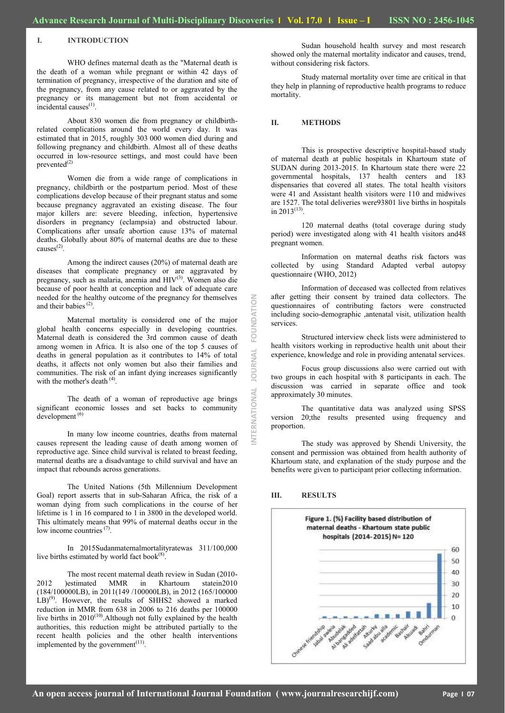#### **I. INTRODUCTION**

WHO defines maternal death as the "Maternal death is the death of a woman while pregnant or within 42 days of termination of pregnancy, irrespective of the duration and site of the pregnancy, from any cause related to or aggravated by the pregnancy or its management but not from accidental or  $incidental causes<sup>(1)</sup>$ .

About 830 women die from pregnancy or childbirthrelated complications around the world every day. It was estimated that in 2015, roughly 303 000 women died during and following pregnancy and childbirth. Almost all of these deaths occurred in low-resource settings, and most could have been prevented $^{(2)}$ 

Women die from a wide range of complications in pregnancy, childbirth or the postpartum period. Most of these complications develop because of their pregnant status and some because pregnancy aggravated an existing disease. The four major killers are: severe bleeding, infection, hypertensive disorders in pregnancy (eclampsia) and obstructed labour. Complications after unsafe abortion cause 13% of maternal deaths. Globally about 80% of maternal deaths are due to these causes<sup>(2)</sup> .

Among the indirect causes (20%) of maternal death are diseases that complicate pregnancy or are aggravated by pregnancy, such as malaria, anemia and HIV(3). Women also die because of poor health at conception and lack of adequate care needed for the healthy outcome of the pregnancy for themselves and their babies<sup> $(2)$ </sup>.

Maternal mortality is considered one of the major global health concerns especially in developing countries. Maternal death is considered the 3rd common cause of death among women in Africa. It is also one of the top 5 causes of deaths in general population as it contributes to 14% of total deaths, it affects not only women but also their families and communities. The risk of an infant dying increases significantly with the mother's death <sup>(4)</sup>.

The death of a woman of reproductive age brings significant economic losses and set backs to community development<sup>(6)</sup>

In many low income countries, deaths from maternal causes represent the leading cause of death among women of reproductive age. Since child survival is related to breast feeding, maternal deaths are a disadvantage to child survival and have an impact that rebounds across generations.

The United Nations (5th Millennium Development Goal) report asserts that in sub-Saharan Africa, the risk of a woman dying from such complications in the course of her lifetime is 1 in 16 compared to 1 in 3800 in the developed world. This ultimately means that 99% of maternal deaths occur in the low income countries<sup>(7)</sup>.

In 2015Sudanmaternalmortalityratewas 311/100,000 live births estimated by world fact book $(8)$ .

The most recent maternal death review in Sudan (2010- 2012 )estimated MMR in Khartoum statein2010 (184/100000LB), in 2011(149 /100000LB), in 2012 (165/100000 LB)<sup>(9)</sup>. However, the results of SHHS2 showed a marked reduction in MMR from 638 in 2006 to 216 deaths per 100000 live births in  $2010^{(10)}$ . Although not fully explained by the health authorities, this reduction might be attributed partially to the recent health policies and the other health interventions implemented by the government $(11)$ .

Sudan household health survey and most research showed only the maternal mortality indicator and causes, trend, without considering risk factors.

Study maternal mortality over time are critical in that they help in planning of reproductive health programs to reduce mortality.

#### **II. METHODS**

This is prospective descriptive hospital-based study of maternal death at public hospitals in Khartoum state of SUDAN during 2013-2015. In Khartoum state there were 22 governmental hospitals, 137 health centers and 183 dispensaries that covered all states. The total health visitors were 41 and Assistant health visitors were 110 and midwives are 1527. The total deliveries were93801 live births in hospitals in  $2013^{(13)}$ .

120 maternal deaths (total coverage during study period) were investigated along with 41 health visitors and48 pregnant women.

Information on maternal deaths risk factors was collected by using Standard Adapted verbal autopsy questionnaire (WHO, 2012)

Information of deceased was collected from relatives after getting their consent by trained data collectors. The questionnaires of contributing factors were constructed including socio-demographic ,antenatal visit, utilization health services.

Structured interview check lists were administered to health visitors working in reproductive health unit about their experience, knowledge and role in providing antenatal services.

Focus group discussions also were carried out with two groups in each hospital with 8 participants in each. The discussion was carried in separate office and took approximately 30 minutes.

The quantitative data was analyzed using SPSS version 20;the results presented using frequency and proportion.

The study was approved by Shendi University, the consent and permission was obtained from health authority of Khartoum state, and explanation of the study purpose and the benefits were given to participant prior collecting information.

#### **III. RESULTS**

**INTERNATIONAL JOURNAL FOUNDATION**

**JAVNAL** 

ERNATIONAL

FOUNDATION

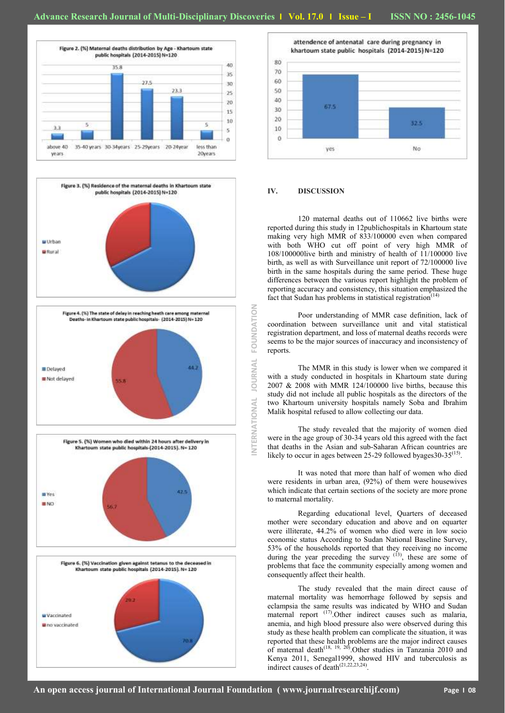











#### **IV. DISCUSSION**

**INTERNATIONAL JOURNAL FOUNDATION**

NTERNATIONAL

**JOURNAL** 

FOUNDATION

120 maternal deaths out of 110662 live births were reported during this study in 12publichospitals in Khartoum state making very high MMR of 833/100000 even when compared with both WHO cut off point of very high MMR of 108/100000live birth and ministry of health of 11/100000 live birth, as well as with Surveillance unit report of 72/100000 live birth in the same hospitals during the same period. These huge differences between the various report highlight the problem of reporting accuracy and consistency, this situation emphasized the fact that Sudan has problems in statistical registration<sup> $(14)$ </sup>

Poor understanding of MMR case definition, lack of coordination between surveillance unit and vital statistical registration department, and loss of maternal deaths records were seems to be the major sources of inaccuracy and inconsistency of reports.

The MMR in this study is lower when we compared it with a study conducted in hospitals in Khartoum state during 2007 & 2008 with MMR 124/100000 live births, because this study did not include all public hospitals as the directors of the two Khartoum university hospitals namely Soba and Ibrahim Malik hospital refused to allow collecting our data.

The study revealed that the majority of women died were in the age group of 30-34 years old this agreed with the fact that deaths in the Asian and sub-Saharan African countries are likely to occur in ages between 25-29 followed byages30-35<sup>(15)</sup> .

It was noted that more than half of women who died were residents in urban area, (92%) of them were housewives which indicate that certain sections of the society are more prone to maternal mortality.

Regarding educational level, Quarters of deceased mother were secondary education and above and on equarter were illiterate, 44.2% of women who died were in low socio economic status According to Sudan National Baseline Survey, 53% of the households reported that they receiving no income during the year preceding the survey  $(13)$ , these are some of problems that face the community especially among women and consequently affect their health.

The study revealed that the main direct cause of maternal mortality was hemorrhage followed by sepsis and eclampsia the same results was indicated by WHO and Sudan  $m$  maternal report  $(17)$ . Other indirect causes such as malaria, anemia, and high blood pressure also were observed during this study as these health problem can complicate the situation, it was reported that these health problems are the major indirect causes of maternal death<sup>(18, 19, 20)</sup>. Other studies in Tanzania 2010 and Kenya 2011, Senegal1999, showed HIV and tuberculosis as indirect causes of death $(21,22,23,24)$ .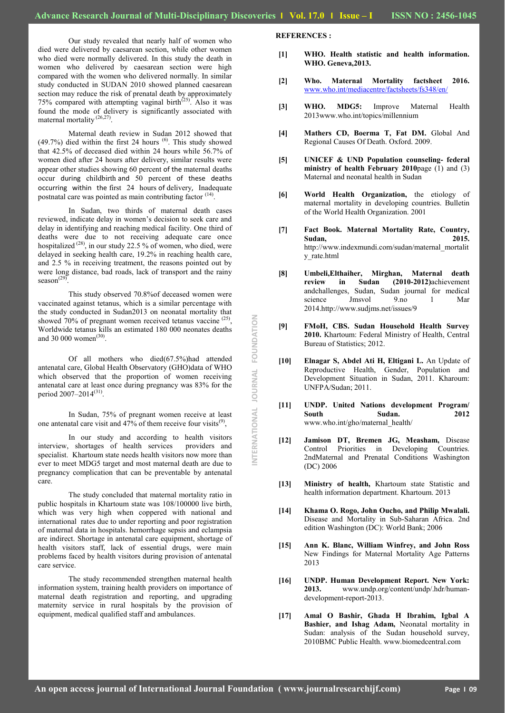NTERNATIONAL JOURNAL FOUNDATION **INTERNATIONAL JOURNAL FOUNDATION**

Our study revealed that nearly half of women who died were delivered by caesarean section, while other women who died were normally delivered. In this study the death in women who delivered by caesarean section were high compared with the women who delivered normally. In similar study conducted in SUDAN 2010 showed planned caesarean section may reduce the risk of prenatal death by approximately  $75%$  compared with attempting vaginal birth<sup>(25)</sup>. Also it was found the mode of delivery is significantly associated with maternal mortality<sup>(26,27)</sup>.

Maternal death review in Sudan 2012 showed that  $(49.7%)$  died within the first 24 hours  $(6)$ . This study showed that 42.5% of deceased died within 24 hours while 56.7% of women died after 24 hours after delivery, similar results were appear other studies showing 60 percent of the maternal deaths occur during childbirth and 50 percent of these deaths occurring within the first 24 hours of delivery, Inadequate postnatal care was pointed as main contributing factor <sup>(14)</sup>.

In Sudan, two thirds of maternal death cases reviewed, indicate delay in women's decision to seek care and delay in identifying and reaching medical facility. One third of deaths were due to not receiving adequate care once hospitalized  $^{(28)}$ , in our study 22.5 % of women, who died, were delayed in seeking health care, 19.2% in reaching health care, and 2.5 % in receiving treatment, the reasons pointed out by were long distance, bad roads, lack of transport and the rainy season $^{(29)}$ .

This study observed 70.8%of deceased women were vaccinated against tetanus, which is a similar percentage with the study conducted in Sudan2013 on neonatal mortality that showed 70% of pregnant women received tetanus vaccine  $(25)$ , Worldwide tetanus kills an estimated 180 000 neonates deaths and 30 000 women $^{(30)}$ .

Of all mothers who died(67.5%)had attended antenatal care, Global Health Observatory (GHO)data of WHO which observed that the proportion of women receiving antenatal care at least once during pregnancy was 83% for the period 2007–2014<sup>(31)</sup>.

In Sudan, 75% of pregnant women receive at least one antenatal care visit and  $47\%$  of them receive four visits<sup>(9)</sup>,

In our study and according to health visitors interview, shortages of health services providers and specialist. Khartoum state needs health visitors now more than ever to meet MDG5 target and most maternal death are due to pregnancy complication that can be preventable by antenatal care.

The study concluded that maternal mortality ratio in public hospitals in Khartoum state was 108/100000 live birth, which was very high when coppered with national and international rates due to under reporting and poor registration of maternal data in hospitals. hemorrhage sepsis and eclampsia are indirect. Shortage in antenatal care equipment, shortage of health visitors staff, lack of essential drugs, were main problems faced by health visitors during provision of antenatal care service.

The study recommended strengthen maternal health information system, training health providers on importance of maternal death registration and reporting, and upgrading maternity service in rural hospitals by the provision of equipment, medical qualified staff and ambulances.

#### **REFERENCES :**

- **[1] WHO. Health statistic and health information. WHO. Geneva,2013.**
- **[2] Who. Maternal Mortality factsheet 2016.**  [www.who.int/mediacentre/factsheets/fs348/en/](http://www.who.int/mediacentre/factsheets/fs348/en/)
- **[3] WHO. MDG5:** Improve Maternal Health 2013www.who.int/topics/millennium
- **[4] Mathers CD, Boerma T, Fat DM.** Global And Regional Causes Of Death. Oxford. 2009.
- **[5] UNICEF & UND Population counseling- federal ministry of health February 2010**page (1) and (3) Maternal and neonatal health in Sudan
- **[6] World Health Organization,** the etiology of maternal mortality in developing countries. Bulletin of the World Health Organization. 2001
- **[7] Fact Book. Maternal Mortality Rate, Country, Sudan, 2015.**  http://www.indexmundi.com/sudan/maternal\_mortalit y\_rate.html
- **[8] Umbeli,Elthaiher, Mirghan, Maternal death**  $\dot{m}$  **Sudan**  $(2010-2012)$ achievement andchallenges, Sudan, Sudan journal for medical science Jmsvol 9.no 1 Mar 2014.http://www.sudjms.net/issues/9
- **[9] FMoH, CBS. Sudan Household Health Survey 2010.** Khartoum: Federal Ministry of Health, Central Bureau of Statistics; 2012.
- **[10] Elnagar S, Abdel Ati H, Eltigani L.** An Update of Reproductive Health, Gender, Population and Development Situation in Sudan, 2011. Kharoum: UNFPA/Sudan; 2011.
- **[11] UNDP. United Nations development Program/ South Sudan. 2012** www.who.int/gho/maternal\_health/
- **[12] Jamison DT, Bremen JG, Measham,** Disease Control Priorities in Developing Countries. 2ndMaternal and Prenatal Conditions Washington (DC) 2006
- **[13] Ministry of health,** Khartoum state Statistic and health information department. Khartoum. 2013
- **[14] Khama O. Rogo, John Oucho, and Philip Mwalali.** Disease and Mortality in Sub-Saharan Africa. 2nd edition Washington (DC): World Bank; 2006
- **[15] Ann K. Blanc, William Winfrey, and John Ross** New Findings for Maternal Mortality Age Patterns 2013
- **[16] UNDP. Human Development Report. New York: 2013.** www.undp.org/content/undp/.hdr/humandevelopment-report-2013.
- **[17] Amal O Bashir, Ghada H Ibrahim, Igbal A Bashier, and Ishag Adam,** Neonatal mortality in Sudan: analysis of the Sudan household survey, 2010BMC Public Health. www.biomedcentral.com